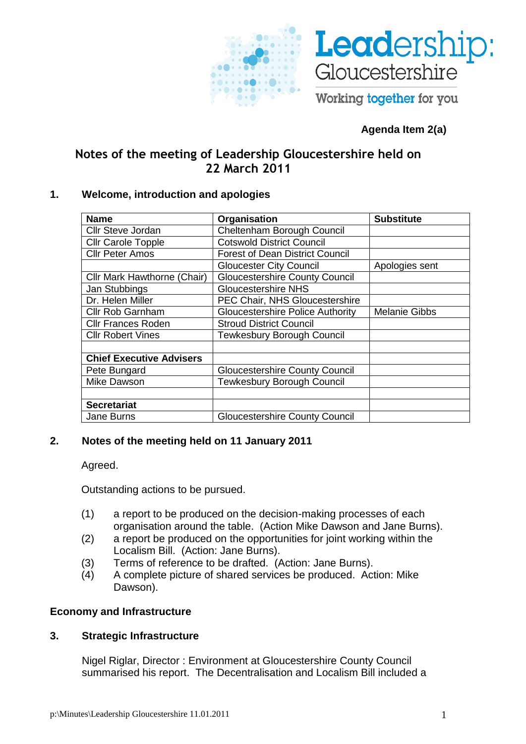



Working together for you

# **Agenda Item 2(a)**

# **Notes of the meeting of Leadership Gloucestershire held on 22 March 2011**

## **1. Welcome, introduction and apologies**

| <b>Name</b>                        | Organisation                            | <b>Substitute</b>    |
|------------------------------------|-----------------------------------------|----------------------|
| Cllr Steve Jordan                  | Cheltenham Borough Council              |                      |
| <b>Cllr Carole Topple</b>          | <b>Cotswold District Council</b>        |                      |
| <b>Cllr Peter Amos</b>             | <b>Forest of Dean District Council</b>  |                      |
|                                    | <b>Gloucester City Council</b>          | Apologies sent       |
| <b>Cllr Mark Hawthorne (Chair)</b> | <b>Gloucestershire County Council</b>   |                      |
| Jan Stubbings                      | <b>Gloucestershire NHS</b>              |                      |
| Dr. Helen Miller                   | PEC Chair, NHS Gloucestershire          |                      |
| Cllr Rob Garnham                   | <b>Gloucestershire Police Authority</b> | <b>Melanie Gibbs</b> |
| <b>Cllr Frances Roden</b>          | <b>Stroud District Council</b>          |                      |
| <b>Cllr Robert Vines</b>           | <b>Tewkesbury Borough Council</b>       |                      |
|                                    |                                         |                      |
| <b>Chief Executive Advisers</b>    |                                         |                      |
| Pete Bungard                       | <b>Gloucestershire County Council</b>   |                      |
| Mike Dawson                        | <b>Tewkesbury Borough Council</b>       |                      |
|                                    |                                         |                      |
| <b>Secretariat</b>                 |                                         |                      |
| Jane Burns                         | <b>Gloucestershire County Council</b>   |                      |

# **2. Notes of the meeting held on 11 January 2011**

Agreed.

Outstanding actions to be pursued.

- (1) a report to be produced on the decision-making processes of each organisation around the table. (Action Mike Dawson and Jane Burns).
- (2) a report be produced on the opportunities for joint working within the Localism Bill. (Action: Jane Burns).
- (3) Terms of reference to be drafted. (Action: Jane Burns).
- (4) A complete picture of shared services be produced. Action: Mike Dawson).

# **Economy and Infrastructure**

# **3. Strategic Infrastructure**

Nigel Riglar, Director : Environment at Gloucestershire County Council summarised his report. The Decentralisation and Localism Bill included a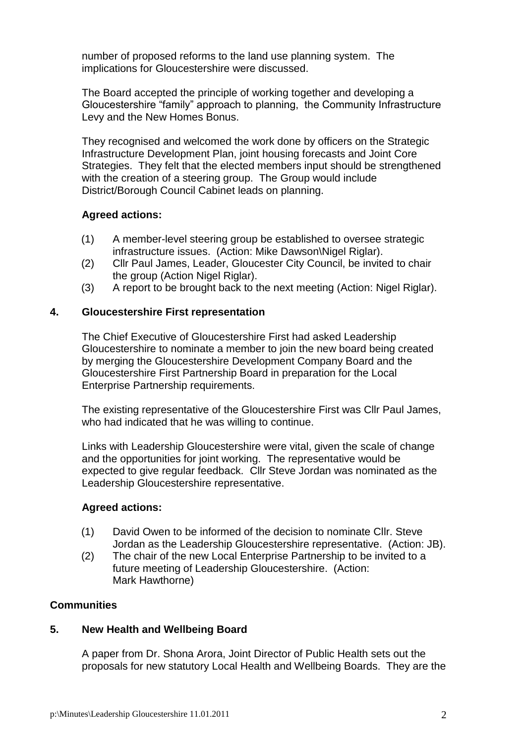number of proposed reforms to the land use planning system. The implications for Gloucestershire were discussed.

The Board accepted the principle of working together and developing a Gloucestershire "family" approach to planning, the Community Infrastructure Levy and the New Homes Bonus.

They recognised and welcomed the work done by officers on the Strategic Infrastructure Development Plan, joint housing forecasts and Joint Core Strategies. They felt that the elected members input should be strengthened with the creation of a steering group. The Group would include District/Borough Council Cabinet leads on planning.

## **Agreed actions:**

- (1) A member-level steering group be established to oversee strategic infrastructure issues. (Action: Mike Dawson\Nigel Riglar).
- (2) Cllr Paul James, Leader, Gloucester City Council, be invited to chair the group (Action Nigel Riglar).
- (3) A report to be brought back to the next meeting (Action: Nigel Riglar).

### **4. Gloucestershire First representation**

The Chief Executive of Gloucestershire First had asked Leadership Gloucestershire to nominate a member to join the new board being created by merging the Gloucestershire Development Company Board and the Gloucestershire First Partnership Board in preparation for the Local Enterprise Partnership requirements.

The existing representative of the Gloucestershire First was Cllr Paul James, who had indicated that he was willing to continue.

Links with Leadership Gloucestershire were vital, given the scale of change and the opportunities for joint working. The representative would be expected to give regular feedback. Cllr Steve Jordan was nominated as the Leadership Gloucestershire representative.

### **Agreed actions:**

- (1) David Owen to be informed of the decision to nominate Cllr. Steve Jordan as the Leadership Gloucestershire representative. (Action: JB).
- (2) The chair of the new Local Enterprise Partnership to be invited to a future meeting of Leadership Gloucestershire. (Action: Mark Hawthorne)

### **Communities**

### **5. New Health and Wellbeing Board**

A paper from Dr. Shona Arora, Joint Director of Public Health sets out the proposals for new statutory Local Health and Wellbeing Boards. They are the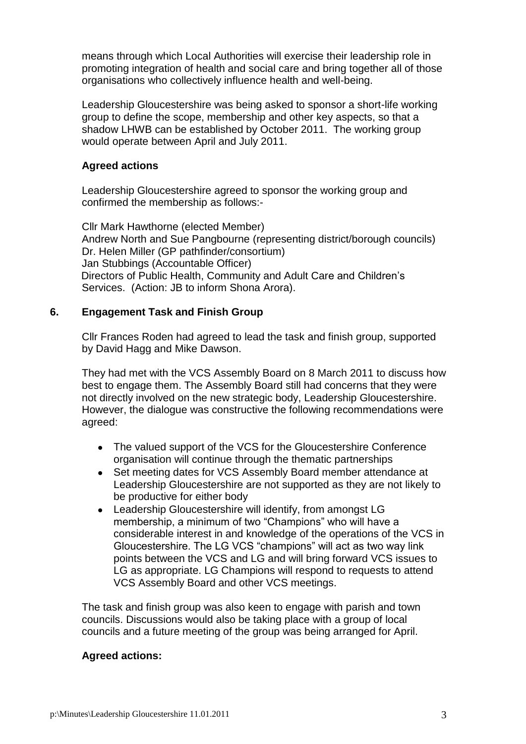means through which Local Authorities will exercise their leadership role in promoting integration of health and social care and bring together all of those organisations who collectively influence health and well-being.

Leadership Gloucestershire was being asked to sponsor a short-life working group to define the scope, membership and other key aspects, so that a shadow LHWB can be established by October 2011. The working group would operate between April and July 2011.

## **Agreed actions**

Leadership Gloucestershire agreed to sponsor the working group and confirmed the membership as follows:-

Cllr Mark Hawthorne (elected Member) Andrew North and Sue Pangbourne (representing district/borough councils) Dr. Helen Miller (GP pathfinder/consortium) Jan Stubbings (Accountable Officer) Directors of Public Health, Community and Adult Care and Children's Services. (Action: JB to inform Shona Arora).

## **6. Engagement Task and Finish Group**

Cllr Frances Roden had agreed to lead the task and finish group, supported by David Hagg and Mike Dawson.

They had met with the VCS Assembly Board on 8 March 2011 to discuss how best to engage them. The Assembly Board still had concerns that they were not directly involved on the new strategic body, Leadership Gloucestershire. However, the dialogue was constructive the following recommendations were agreed:

- The valued support of the VCS for the Gloucestershire Conference organisation will continue through the thematic partnerships
- Set meeting dates for VCS Assembly Board member attendance at Leadership Gloucestershire are not supported as they are not likely to be productive for either body
- Leadership Gloucestershire will identify, from amongst LG membership, a minimum of two "Champions" who will have a considerable interest in and knowledge of the operations of the VCS in Gloucestershire. The LG VCS "champions" will act as two way link points between the VCS and LG and will bring forward VCS issues to LG as appropriate. LG Champions will respond to requests to attend VCS Assembly Board and other VCS meetings.

The task and finish group was also keen to engage with parish and town councils. Discussions would also be taking place with a group of local councils and a future meeting of the group was being arranged for April.

### **Agreed actions:**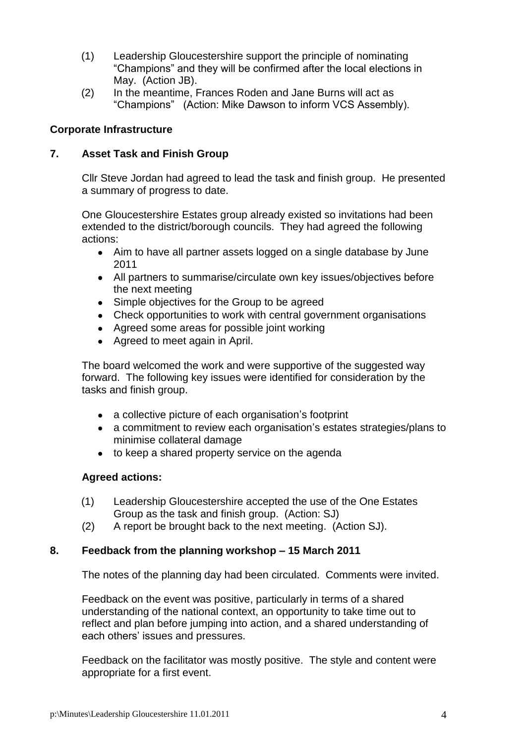- (1) Leadership Gloucestershire support the principle of nominating "Champions" and they will be confirmed after the local elections in May. (Action JB).
- (2) In the meantime, Frances Roden and Jane Burns will act as "Champions" (Action: Mike Dawson to inform VCS Assembly).

## **Corporate Infrastructure**

## **7. Asset Task and Finish Group**

Cllr Steve Jordan had agreed to lead the task and finish group. He presented a summary of progress to date.

One Gloucestershire Estates group already existed so invitations had been extended to the district/borough councils. They had agreed the following actions:

- Aim to have all partner assets logged on a single database by June 2011
- All partners to summarise/circulate own key issues/objectives before the next meeting
- Simple objectives for the Group to be agreed
- Check opportunities to work with central government organisations
- Agreed some areas for possible joint working
- Agreed to meet again in April.

The board welcomed the work and were supportive of the suggested way forward. The following key issues were identified for consideration by the tasks and finish group.

- a collective picture of each organisation's footprint
- a commitment to review each organisation's estates strategies/plans to minimise collateral damage
- to keep a shared property service on the agenda

# **Agreed actions:**

- (1) Leadership Gloucestershire accepted the use of the One Estates Group as the task and finish group. (Action: SJ)
- (2) A report be brought back to the next meeting. (Action SJ).

# **8. Feedback from the planning workshop – 15 March 2011**

The notes of the planning day had been circulated. Comments were invited.

Feedback on the event was positive, particularly in terms of a shared understanding of the national context, an opportunity to take time out to reflect and plan before jumping into action, and a shared understanding of each others' issues and pressures.

Feedback on the facilitator was mostly positive. The style and content were appropriate for a first event.